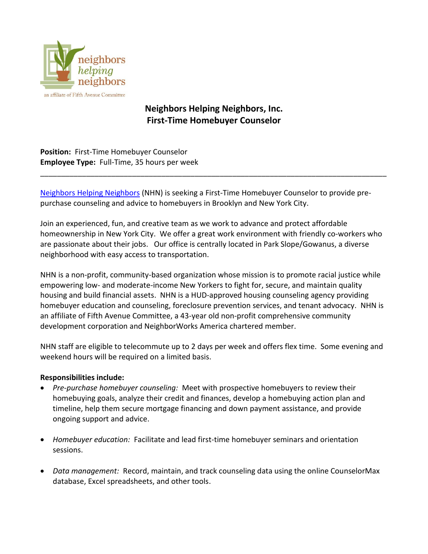

## **Neighbors Helping Neighbors, Inc. First-Time Homebuyer Counselor**

**Position:** First-Time Homebuyer Counselor **Employee Type:** Full-Time, 35 hours per week

[Neighbors Helping Neighbors](https://fifthave.org/neighbors-helping-neighbors-2/) (NHN) is seeking a First-Time Homebuyer Counselor to provide prepurchase counseling and advice to homebuyers in Brooklyn and New York City.

\_\_\_\_\_\_\_\_\_\_\_\_\_\_\_\_\_\_\_\_\_\_\_\_\_\_\_\_\_\_\_\_\_\_\_\_\_\_\_\_\_\_\_\_\_\_\_\_\_\_\_\_\_\_\_\_\_\_\_\_\_\_\_\_\_\_\_\_\_\_\_\_\_\_\_\_\_\_\_\_\_\_\_

Join an experienced, fun, and creative team as we work to advance and protect affordable homeownership in New York City. We offer a great work environment with friendly co-workers who are passionate about their jobs. Our office is centrally located in Park Slope/Gowanus, a diverse neighborhood with easy access to transportation.

NHN is a non-profit, community-based organization whose mission is to promote racial justice while empowering low- and moderate-income New Yorkers to fight for, secure, and maintain quality housing and build financial assets. NHN is a HUD-approved housing counseling agency providing homebuyer education and counseling, foreclosure prevention services, and tenant advocacy. NHN is an affiliate of Fifth Avenue Committee, a 43-year old non-profit comprehensive community development corporation and NeighborWorks America chartered member.

NHN staff are eligible to telecommute up to 2 days per week and offers flex time. Some evening and weekend hours will be required on a limited basis.

## **Responsibilities include:**

- *Pre-purchase homebuyer counseling:* Meet with prospective homebuyers to review their homebuying goals, analyze their credit and finances, develop a homebuying action plan and timeline, help them secure mortgage financing and down payment assistance, and provide ongoing support and advice.
- *Homebuyer education:* Facilitate and lead first-time homebuyer seminars and orientation sessions.
- *Data management:* Record, maintain, and track counseling data using the online CounselorMax database, Excel spreadsheets, and other tools.